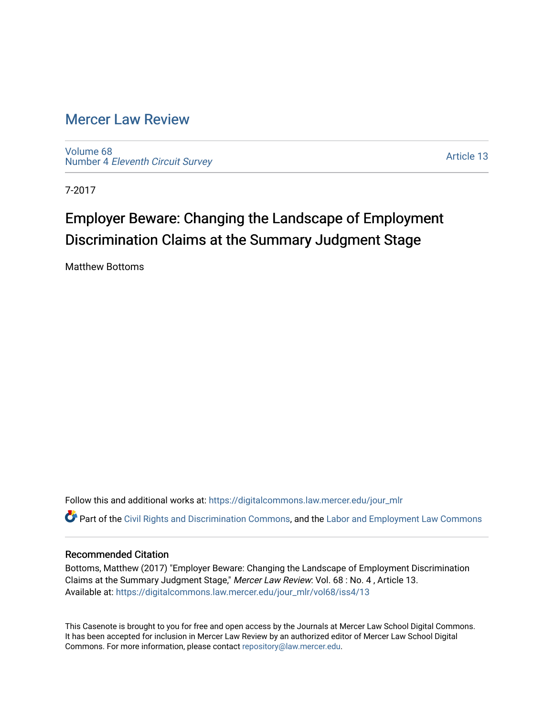# [Mercer Law Review](https://digitalcommons.law.mercer.edu/jour_mlr)

[Volume 68](https://digitalcommons.law.mercer.edu/jour_mlr/vol68) Number 4 [Eleventh Circuit Survey](https://digitalcommons.law.mercer.edu/jour_mlr/vol68/iss4) 

[Article 13](https://digitalcommons.law.mercer.edu/jour_mlr/vol68/iss4/13) 

7-2017

# Employer Beware: Changing the Landscape of Employment Discrimination Claims at the Summary Judgment Stage

Matthew Bottoms

Follow this and additional works at: [https://digitalcommons.law.mercer.edu/jour\\_mlr](https://digitalcommons.law.mercer.edu/jour_mlr?utm_source=digitalcommons.law.mercer.edu%2Fjour_mlr%2Fvol68%2Fiss4%2F13&utm_medium=PDF&utm_campaign=PDFCoverPages)

Part of the [Civil Rights and Discrimination Commons,](http://network.bepress.com/hgg/discipline/585?utm_source=digitalcommons.law.mercer.edu%2Fjour_mlr%2Fvol68%2Fiss4%2F13&utm_medium=PDF&utm_campaign=PDFCoverPages) and the [Labor and Employment Law Commons](http://network.bepress.com/hgg/discipline/909?utm_source=digitalcommons.law.mercer.edu%2Fjour_mlr%2Fvol68%2Fiss4%2F13&utm_medium=PDF&utm_campaign=PDFCoverPages) 

# Recommended Citation

Bottoms, Matthew (2017) "Employer Beware: Changing the Landscape of Employment Discrimination Claims at the Summary Judgment Stage," Mercer Law Review: Vol. 68 : No. 4 , Article 13. Available at: [https://digitalcommons.law.mercer.edu/jour\\_mlr/vol68/iss4/13](https://digitalcommons.law.mercer.edu/jour_mlr/vol68/iss4/13?utm_source=digitalcommons.law.mercer.edu%2Fjour_mlr%2Fvol68%2Fiss4%2F13&utm_medium=PDF&utm_campaign=PDFCoverPages) 

This Casenote is brought to you for free and open access by the Journals at Mercer Law School Digital Commons. It has been accepted for inclusion in Mercer Law Review by an authorized editor of Mercer Law School Digital Commons. For more information, please contact [repository@law.mercer.edu.](mailto:repository@law.mercer.edu)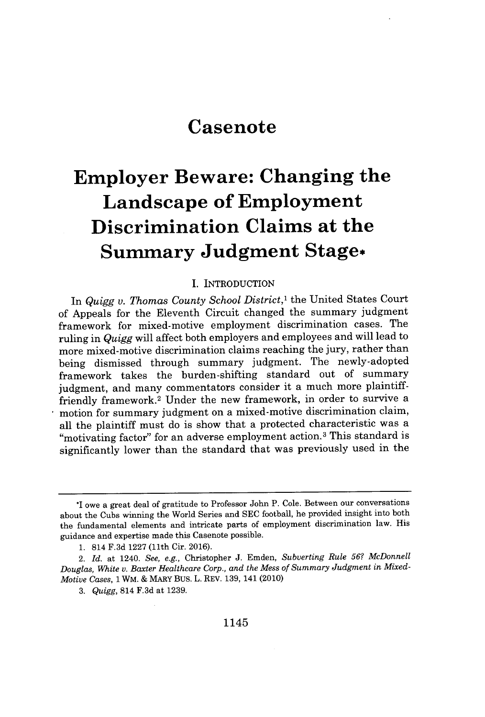# **Casenote**

# **Employer Beware: Changing the Landscape of Employment Discrimination Claims at the Summary Judgment Stage\***

### **I.** INTRODUCTION

In *Quigg v. Thomas County School District,'* the United States Court of Appeals for the Eleventh Circuit changed the summary judgment framework for mixed-motive employment discrimination cases. The ruling in *Quigg* will affect both employers and employees and will lead to more mixed-motive discrimination claims reaching the jury, rather than being dismissed through summary judgment. The newly-adopted framework takes the burden-shifting standard out of summary judgment, and many commentators consider it a much more plaintifffriendly framework.<sup>2</sup> Under the new framework, in order to survive a motion for summary judgment on a mixed-motive discrimination claim, all the plaintiff must do is show that a protected characteristic was a "motivating factor" for an adverse employment action.<sup>3</sup> This standard is significantly lower than the standard that was previously used in the

<sup>\*</sup>I owe a great deal of gratitude to Professor John P. Cole. Between our conversations about the Cubs winning the World Series and **SEC** football, he provided insight into both the fundamental elements and intricate parts of employment discrimination law. His guidance and expertise made this Casenote possible.

**<sup>1.</sup>** 814 **F.3d 1227** (11th Cir. **2016).**

<sup>2.</sup> *Id.* at 1240. *See, e.g.,* Christopher **J.** Emden, *Subverting Rule 56? McDonnell Douglas, White v. Baxter Healthcare Corp., and the Mess of Summary Judgment in Mixed-Motive Cases, 1 WM.* **&** MARY Bus. L. REV. **139,** 141 (2010)

*<sup>3.</sup> Quigg,* 814 **F.3d** at **1239.**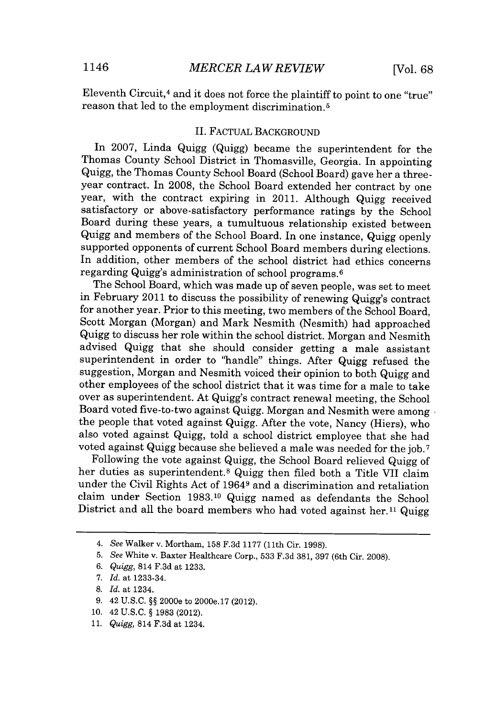Eleventh Circuit,<sup>4</sup> and it does not force the plaintiff to point to one "true" reason that led to the employment discrimination.5

## II. FACTUAL **BACKGROUND**

In **2007,** Linda Quigg (Quigg) became the superintendent for the Thomas County School District in Thomasville, Georgia. In appointing Quigg, the Thomas County School Board (School Board) gave her a threeyear contract. In **2008,** the School Board extended her contract **by** one year, with the contract expiring in 2011. Although Quigg received satisfactory or above-satisfactory performance ratings **by** the School Board during these years, a tumultuous relationship existed between Quigg and members of the School Board. In one instance, Quigg openly supported opponents of current School Board members during elections. In addition, other members of the school district had ethics concerns regarding Quigg's administration of school programs.<sup>6</sup>

The School Board, which was made up of seven people, was set to meet in February 2011 to discuss the possibility of renewing Quigg's contract for another year. Prior to this meeting, two members of the School Board, Scott Morgan (Morgan) and Mark Nesmith (Nesmith) had approached Quigg to discuss her role within the school district. Morgan and Nesmith advised Quigg that she should consider getting a male assistant superintendent in order to "handle" things. After Quigg refused the suggestion, Morgan and Nesmith voiced their opinion to both Quigg and other employees of the school district that it was time for a male to take over as superintendent. At Quigg's contract renewal meeting, the School Board voted five-to-two against Quigg. Morgan and Nesmith were among the people that voted against Quigg. After the vote, Nancy (Hiers), who also voted against Quigg, told a school district employee that she had voted against Quigg because she believed a male was needed for the **job. <sup>7</sup>**

Following the vote against Quigg, the School Board relieved Quigg of her duties as superintendent.<sup>8</sup> Quigg then filed both a Title VII claim under the Civil Rights Act of 19649 and a discrimination and retaliation claim under Section **1983.10** Quigg named as defendants the School District and all the board members who had voted against her.<sup>11</sup> Quigg

**10.** 42 **U.S.C. § 1983** (2012).

*<sup>4.</sup> See* Walker v. Mortham, **158 F.3d 1177** (11th Cir. **1998).**

**<sup>5.</sup>** *See* White v. Baxter Healthcare Corp., **533 F.3d 381, 397** (6th Cir. **2008).**

**<sup>6.</sup>** *Quigg,* 814 **F.3d** at **1233.**

*<sup>7.</sup> Id. at* 1233-34.

**<sup>8.</sup>** *Id. at* 1234.

**<sup>9.</sup>** 42 **U.S.C. §§** 2000e to 2000e.17 (2012).

**<sup>11.</sup>** *Quigg,* 814 **F.3d** at 1234.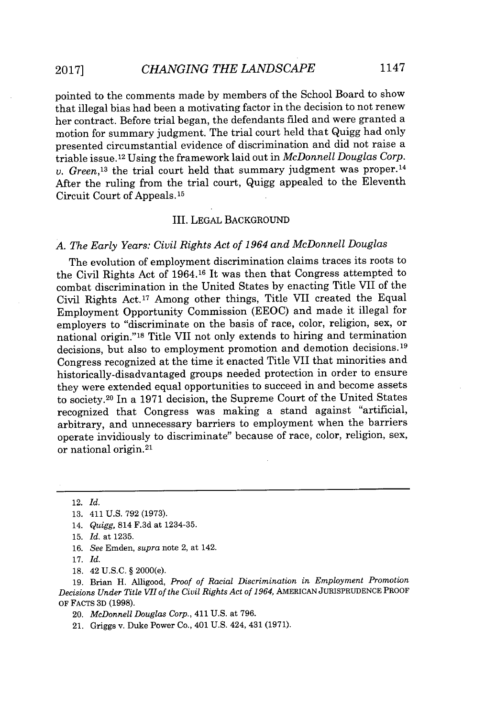pointed to the comments made **by** members of the School Board to show that illegal bias had been a motivating factor in the decision to not renew her contract. Before trial began, the defendants filed and were granted a motion for summary judgment. The trial court held that Quigg had only presented circumstantial evidence of discrimination and did not raise a triable issue.<sup>12</sup> Using the framework laid out in *McDonnell Douglas Corp*. *v. Green*<sup>13</sup> the trial court held that summary judgment was proper.<sup>14</sup> After the ruling from the trial court, Quigg appealed to the Eleventh

#### III. **LEGAL BACKGROUND**

# *A. The Early Years: Civil Rights Act of 1964 and McDonnell Douglas*

The evolution of employment discrimination claims traces its roots to the Civil Rights Act of 1964.16 It was then that Congress attempted to combat discrimination in the United States **by** enacting Title VII of the Civil Rights Act.<sup>17</sup> Among other things, Title VII created the Equal Employment Opportunity Commission **(EEOC)** and made it illegal for employers to "discriminate on the basis of race, color, religion, sex, or national origin."<sup>18</sup> Title VII not only extends to hiring and termination decisions, but also to employment promotion and demotion decisions.<sup>19</sup> Congress recognized at the time it enacted Title VII that minorities and historically-disadvantaged groups needed protection in order to ensure they were extended equal opportunities to succeed in and become assets to society.<sup>20</sup> In a 1971 decision, the Supreme Court of the United States recognized that Congress was making a stand against "artificial, arbitrary, and unnecessary barriers to employment when the barriers operate invidiously to discriminate" because of race, color, religion, sex, or national origin.<sup>21</sup>

Circuit Court of Appeals. **<sup>15</sup>**

- **16.** *See* Emden, *supra* note 2, *at* 142.
- **17.** *Id.*
- **18.** 42 **U.S.C. §** 2000(e).

**19.** Brian H. Alligood, *Proof of Racial Discrimination in Employment Promotion Decisions Under Title VII of the Civil Rights Act of 1964,* **AMERICAN JURISPRUDENCE** PROOF OF **FACTS 3D (1998).**

20. *McDonnell Douglas Corp.,* 411 **U.S.** at **796.**

21. Griggs v. Duke Power Co., 401 **U.S.** 424, 431 **(1971).**

<sup>12.</sup> *Id.*

**<sup>13.</sup>** 411 **U.S. 792 (1973).**

<sup>14.</sup> *Quigg,* 814 **F.3d** *at* 1234-35.

**<sup>15.</sup>** *Id. at* **1235.**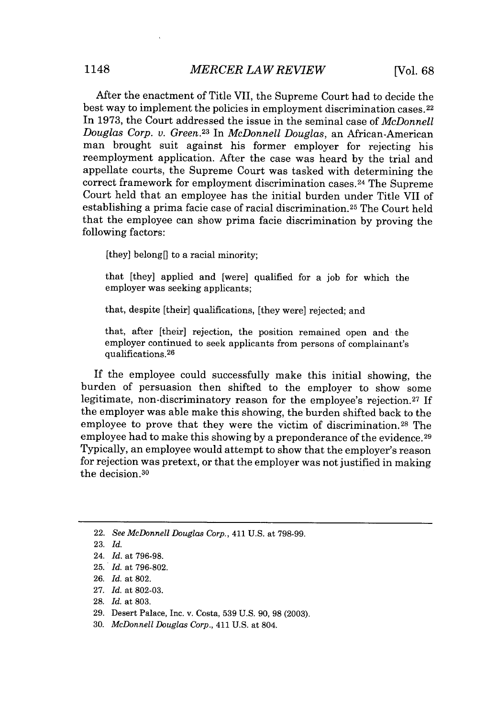After the enactment of Title VII, the Supreme Court had to decide the best way to implement the policies in employment discrimination cases. <sup>22</sup> In **1973,** the Court addressed the issue in the seminal case of *McDonnell Douglas Corp. v. Green.<sup>2</sup> <sup>3</sup>*In *McDonnell Douglas,* an African-American man brought suit against his former employer for rejecting his reemployment application. After the case was heard **by** the trial and appellate courts, the Supreme Court was tasked with determining the correct framework for employment discrimination cases. <sup>24</sup>The Supreme Court held that an employee has the initial burden under Title VII of establishing a prima facie case of racial discrimination.<sup>25</sup> The Court held that the employee can show prima facie discrimination **by** proving the following factors:

[they] belong[] to a racial minority;

that [they] applied and [were] qualified for a **job** for which the employer was seeking applicants;

that, despite [their] qualifications, [they were] rejected; and

that, after [their] rejection, the position remained open and the employer continued to seek applicants from persons of complainant's qualifications. <sup>26</sup>

If the employee could successfully make this initial showing, the burden of persuasion then shifted to the employer to show some legitimate, non-discriminatory reason for the employee's rejection. <sup>27</sup>**If** the employer was able make this showing, the burden shifted back to the employee to prove that they were the victim of discrimination.<sup>28</sup> The employee had to make this showing **by** a preponderance of the evidence. <sup>29</sup> Typically, an employee would attempt to show that the employer's reason for rejection was pretext, or that the employer was not justified in making the decision. <sup>30</sup>

- **27.** *Id.* at **802-03.**
- **28.** *Id.* at **803.**
- **29.** Desert Palace, Inc. v. Costa, **539 U.S.** *90,* **98 (2003).**
- **30.** *McDonnell Douglas Corp.,* 411 **U.S.** at 804.

<sup>22.</sup> *See McDonnell Douglas Corp.,* 411 **U.S.** at **798-99.**

**<sup>23.</sup>** *Id.*

<sup>24.</sup> *Id.* at **796-98.**

**<sup>25.</sup>** *Id.* at **796-802.**

**<sup>26.</sup>** *Id.* at **802.**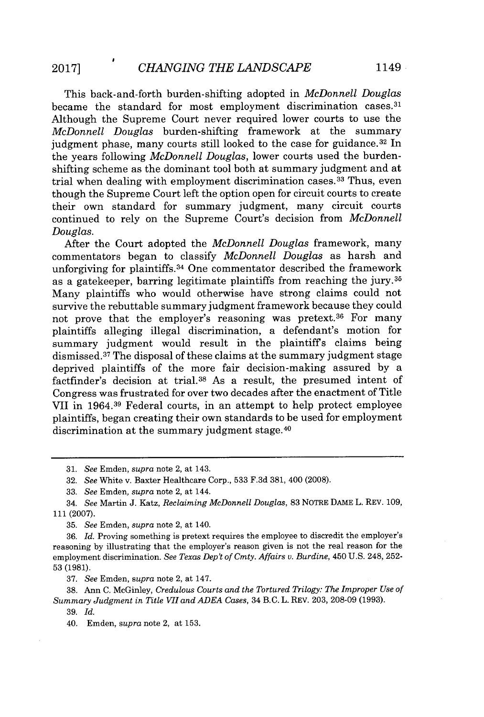This back-and-forth burden-shifting adopted in *McDonnell Douglas* became the standard for most employment discrimination cases.<sup>31</sup> Although the Supreme Court never required lower courts to use the *McDonnell Douglas* burden-shifting framework at the summary judgment phase, many courts still looked to the case for guidance.<sup>32</sup> In the years following *McDonnell Douglas,* lower courts used the burdenshifting scheme as the dominant tool both at summary judgment and at trial when dealing with employment discrimination cases.33 Thus, even though the Supreme Court left the option open for circuit courts to create their own standard for summary judgment, many circuit courts continued to rely on the Supreme Court's decision from *McDonnell Douglas.*

After the Court adopted the *McDonnell Douglas* framework, many commentators began to classify *McDonnell Douglas* as harsh and unforgiving for plaintiffs.<sup>34</sup> One commentator described the framework as a gatekeeper, barring legitimate plaintiffs from reaching the jury. <sup>35</sup> Many plaintiffs who would otherwise have strong claims could not survive the rebuttable summary judgment framework because they could not prove that the employer's reasoning was pretext.<sup>36</sup> For many plaintiffs alleging illegal discrimination, a defendant's motion for summary judgment would result in the plaintiffs claims being dismissed.<sup>37</sup>The disposal of these claims at the summary judgment stage deprived plaintiffs of the more fair decision-making assured **by** a factfinder's decision at trial.<sup>38</sup>As a result, the presumed intent of Congress was frustrated for over two decades after the enactment of Title VII in **1964.39** Federal courts, in an attempt to help protect employee plaintiffs, began creating their own standards to be used for employment discrimination at the summary judgment stage.<sup>40</sup>

**37.** *See* Emden, *supra* note 2, at 147.

**38.** *Ann* **C.** McGinley, *Credulous Courts and the Tortured Trilogy: The Improper Use of Summary Judgment in Title VII and ADEA Cases,* 34 B.C. L. REV. **203, 208-09 (1993).**

*<sup>31.</sup> See* Emden, *supra* note 2, at 143.

**<sup>32.</sup>** *See* White v. Baxter Healthcare Corp., **533 F.3d 381,** 400 **(2008).**

*<sup>33.</sup> See* Emden, *supra* note 2, at 144.

<sup>34.</sup> *See* Martin **J.** Katz, *Reclaiming McDonnell Douglas,* **83** NOTRE **DAME** L. REV. **109, 111 (2007).**

**<sup>35.</sup>** *See* Emden, *supra* note 2, at 140.

**<sup>36.</sup>** *Id.* Proving something is pretext requires the employee to discredit the employer's reasoning **by** illustrating that the employer's reason given is not the real reason for the employment discrimination. *See Texas Dep't of Cmty. Affairs v. Burdine,* 450 **U.S.** 248, **252- 53 (1981).**

**<sup>39.</sup>** *Id.*

<sup>40.</sup> Emden, *supra* note 2, at **153.**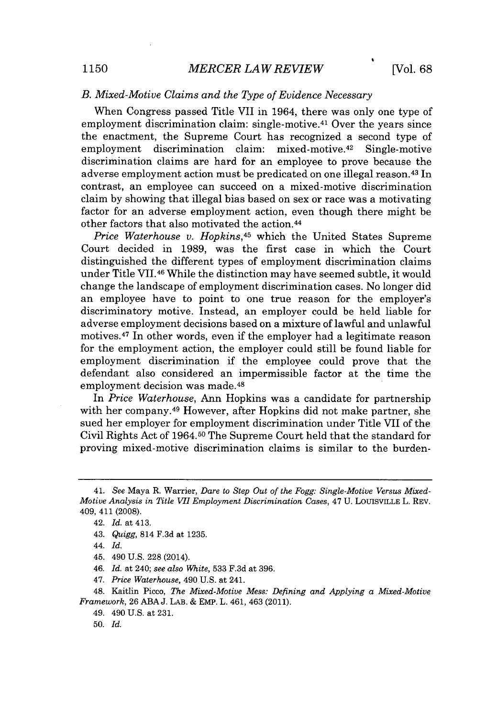# *B. Mixed-Motive Claims and the Type of Evidence Necessary*

When Congress passed Title VII in 1964, there was only one type of employment discrimination claim: single-motive.<sup>41</sup> Over the years since the enactment, the Supreme Court has recognized a second type of employment discrimination claim: mixed-motive.<sup>42</sup> Single-motive discrimination claims are hard for an employee to prove because the adverse employment action must be predicated on one illegal reason.<sup>43</sup> In contrast, an employee can succeed on a mixed-motive discrimination claim **by** showing that illegal bias based on sex or race was a motivating factor for an adverse employment action, even though there might be other factors that also motivated the action. <sup>44</sup>

*Price Waterhouse v. Hopkins,<sup>4</sup>5* which the United States Supreme Court decided in **1989,** was the first case in which the Court distinguished the different types of employment discrimination claims under Title VII.46 While the distinction may have seemed subtle, it would change the landscape of employment discrimination cases. No longer did an employee have to point to one true reason for the employer's discriminatory motive. Instead, an employer could be held liable for adverse employment decisions based on a mixture of lawful and unlawful motives.<sup>47</sup> In other words, even if the employer had a legitimate reason for the employment action, the employer could still be found liable for employment discrimination if the employee could prove that the defendant also considered an impermissible factor at the time the employment decision was made. <sup>48</sup>

In *Price Waterhouse,* Ann Hopkins was a candidate for partnership with her company.<sup>49</sup> However, after Hopkins did not make partner, she sued her employer for employment discrimination under Title **VII** of the Civil Rights Act of 1964.50 The Supreme Court held that the standard for proving mixed-motive discrimination claims is similar to the burden-

*46. Id.* at 240; *see also White,* **533 F.3d** at **396.**

*47. Price Waterhouse,* 490 **U.S.** at 241.

48. Kaitlin Picco, *The Mixed-Motive Mess: Defining and Applying a Mixed-Motive Framework,* **26 ABA J.** LAB. **&** EMP. L. 461, 463 (2011).

49. 490 **U.S.** at **231.**

**50.** *Id.*

*<sup>41.</sup> See* Maya R. Warrier, *Dare to Step Out of the Fogg: Single-Motive Versus Mixed-Motive Analysis in Title VII Employment Discrimination Cases, 47* **U.** LOUISVILLE L. REv. 409, 411 **(2008).**

<sup>42.</sup> *Id.* at 413.

<sup>43.</sup> *Quigg,* 814 **F.3d** at **1235.**

*<sup>44.</sup> Id.*

<sup>45. 490</sup> **U.S. 228** (2014).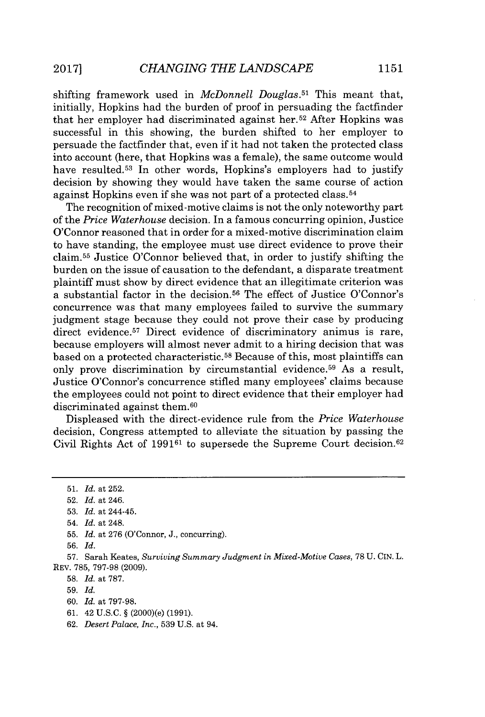shifting framework used in *McDonnell Douglas.<sup>51</sup>*This meant that, initially, Hopkins had the burden of proof in persuading the factfinder that her employer had discriminated against her.52 After Hopkins was successful in this showing, the burden shifted to her employer to persuade the factfinder that, even if it had not taken the protected class into account (here, that Hopkins was a female), the same outcome would have resulted.<sup>53</sup> In other words, Hopkins's employers had to justify decision **by** showing they would have taken the same course of action against Hopkins even if she was not part of a protected class. <sup>54</sup>

The recognition of mixed-motive claims is not the only noteworthy part of the *Price Waterhouse* decision. In a famous concurring opinion, Justice O'Connor reasoned that in order for a mixed-motive discrimination claim to have standing, the employee must use direct evidence to prove their claim.<sup>55</sup> Justice O'Connor believed that, in order to justify shifting the burden on the issue of causation to the defendant, a disparate treatment plaintiff must show **by** direct evidence that an illegitimate criterion was a substantial factor in the decision.<sup>56</sup> The effect of Justice O'Connor's concurrence was that many employees failed to survive the summary judgment stage because they could not prove their case **by** producing direct evidence.<sup>57</sup> Direct evidence of discriminatory animus is rare, because employers will almost never admit to a hiring decision that was based on a protected characteristic.<sup>58</sup> Because of this, most plaintiffs can only prove discrimination by circumstantial evidence.<sup>59</sup> As a result, Justice O'Connor's concurrence stifled many employees' claims because the employees could not point to direct evidence that their employer had discriminated against them.<sup>60</sup>

Displeased with the direct-evidence rule from the *Price Waterhouse* decision, Congress attempted to alleviate the situation **by** passing the Civil Rights Act **of 199161** to supersede the Supreme Court decision.<sup>62</sup>

- **59.** *Id.*
- **60.** *Id. at* **797-98.**
- **61.** 42 **U.S.C. §** (2000)(e) **(1991).**
- **62.** *Desert Palace, Inc.,* **539 U.S.** at 94.

**<sup>51.</sup>** *Id. at* **252.**

**<sup>52.</sup>** *Id. at* 246.

**<sup>53.</sup>** *Id. at* 244-45.

<sup>54.</sup> *Id. at* 248.

**<sup>55.</sup>** *Id. at* **276** (O'Connor, **J.,** concurring).

**<sup>56.</sup>** *Id.*

**<sup>57.</sup>** Sarah Keates, *Surviving Summary Judgment in Mixed-Motive Cases,* **78 U.** CIN. L. REV. **785, 797-98 (2009).**

**<sup>58.</sup>** *Id. at* **787.**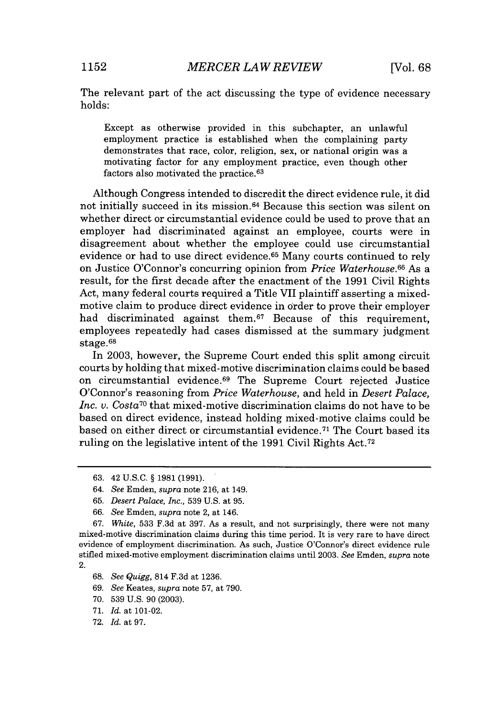The relevant part of the act discussing the type of evidence necessary holds:

Except as otherwise provided in this subchapter, an unlawful employment practice is established when the complaining party demonstrates that race, color, religion, sex, or national origin was a motivating factor for any employment practice, even though other factors also motivated the practice. <sup>63</sup>

Although Congress intended to discredit the direct evidence rule, it did not initially succeed in its mission.<sup>6</sup> 4 Because this section was silent on whether direct or circumstantial evidence could be used to prove that an employer had discriminated against an employee, courts were in disagreement about whether the employee could use circumstantial evidence or had to use direct evidence.<sup>65</sup> Many courts continued to rely on Justice O'Connor's concurring opinion from *Price Waterhouse.66* As a result, for the first decade after the enactment of the **1991** Civil Rights Act, many federal courts required a Title VII plaintiff asserting a mixedmotive claim to produce direct evidence in order to prove their employer had discriminated against them.<sup>67</sup> Because of this requirement, employees repeatedly had cases dismissed at the summary judgment stage.<sup>6</sup> 8

In **2003,** however, the Supreme Court ended this split among circuit courts **by** holding that mixed-motive discrimination claims could be based on circumstantial evidence.<sup>69</sup> The Supreme Court rejected Justice O'Connor's reasoning from *Price Waterhouse,* and held in *Desert Palace, Inc. v. Costa*<sup>70</sup> that mixed-motive discrimination claims do not have to be based on direct evidence, instead holding mixed-motive claims could be based on either direct or circumstantial evidence.<sup>71</sup> The Court based its ruling on the legislative intent of the **1991** Civil Rights Act. <sup>72</sup>

*67. White,* **533 F.3d** at **397.** As a result, and not surprisingly, there were not many mixed-motive discrimination claims during this time period. It is very rare to have direct evidence of employment discrimination. As such, Justice O'Connor's direct evidence rule stifled mixed-motive employment discrimination claims until **2003.** *See* Emden, *supra* note 2.

- **69.** *See Keates, supra* note **57,** at **790.**
- **70. 539 U.S. 90 (2003).**
- **71.** *Id.* at 101-02.
- **72.** *Id.* at **97.**

**<sup>63.</sup>** 42 **U.S.C. § 1981 (1991).**

*<sup>64.</sup> See* Emden, *supra* note **216,** at 149.

*<sup>65.</sup> Desert Palace, Inc.,* **539 U.S.** at **95.**

*<sup>66.</sup> See* Emden, *supra* note 2, at 146.

**<sup>68.</sup>** *See Quigg,* 814 **F.3d** at **1236.**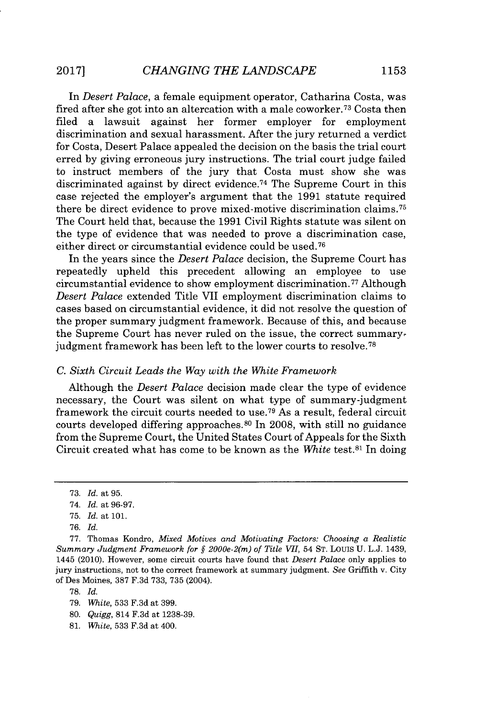In *Desert Palace, a* female equipment operator, Catharina Costa, was fired after she got into an altercation with a male coworker.<sup>73</sup> Costa then filed a lawsuit against her former employer for employment discrimination and sexual harassment. After the jury returned a verdict for Costa, Desert Palace appealed the decision on the basis the trial court erred **by** giving erroneous jury instructions. The trial court judge failed to instruct members of the jury that Costa must show she was discriminated against by direct evidence.<sup>74</sup> The Supreme Court in this case rejected the employer's argument that the **1991** statute required there be direct evidence to prove mixed-motive discrimination claims.<sup>75</sup> The Court held that, because the **1991** Civil Rights statute was silent on the type of evidence that was needed to prove a discrimination case, either direct or circumstantial evidence could be used. <sup>76</sup>

In the years since the *Desert Palace* decision, the Supreme Court has repeatedly upheld this precedent allowing an employee to use circumstantial evidence to show employment discrimination. 77 Although *Desert Palace* extended Title VII employment discrimination claims to cases based on circumstantial evidence, it did not resolve the question of the proper summary judgment framework. Because of this, and because the Supreme Court has never ruled on the issue, the correct summary judgment framework has been left to the lower courts to resolve.<sup>78</sup>

#### *C. Sixth Circuit Leads the Way with the White Framework*

Although the *Desert Palace* decision made clear the type of evidence necessary, the Court was silent on what type of summary-judgment framework the circuit courts needed to use.<sup>79</sup> As a result, federal circuit courts developed differing approaches.<sup>80</sup>In **2008,** with still no guidance from the Supreme Court, the United States Court of Appeals for the Sixth Circuit created what has come to be known as the *White* test.<sup>81</sup> In doing

**78.** *Id.*

- *80. Quigg,* 814 **F.3d** at **1238-39.**
- **81.** *White,* **533 F.3d** at 400.

**<sup>73.</sup>** *Id. at* **95.**

*<sup>74.</sup> Id. at 96-97.*

**<sup>75.</sup>** *Id. at* **101.**

*<sup>76.</sup> Id.*

**<sup>77.</sup>** Thomas Kondro, *Mixed Motives and Motivating Factors: Choosing a Realistic Summary Judgment Framework for § 2000e-2(m) of Title VII,* 54 **ST.** Louis **U.** L.J. 1439, 1445 (2010). However, some circuit courts have found that *Desert Palace* only applies to jury instructions, not to the correct framework at summary judgment. *See* Griffith v. City of Des Moines, **387 F.3d 733, 735** (2004).

**<sup>79.</sup>** *White,* **533 F.3d** at **399.**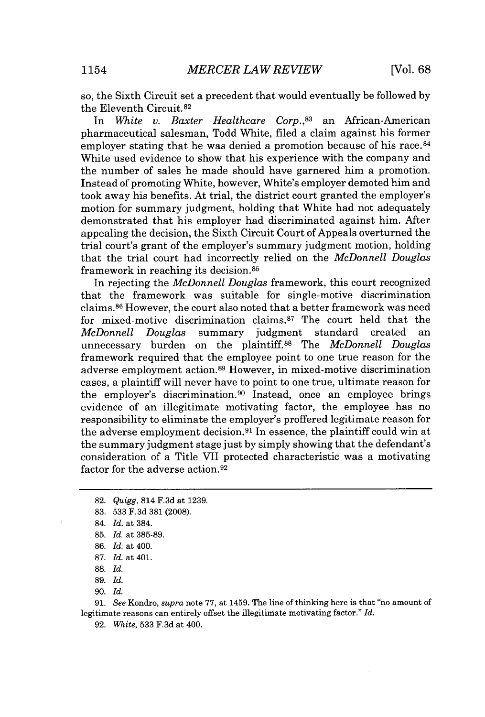so, the Sixth Circuit set a precedent that would eventually be followed **by** the Eleventh Circuit.<sup>82</sup><br>In *White* v. Baxi

In *White v. Baxter Healthcare Corp.,<sup>8</sup> <sup>3</sup>*an African-American pharmaceutical salesman, Todd White, filed a claim against his former employer stating that he was denied a promotion because of his race.<sup>84</sup> White used evidence to show that his experience with the company and the number of sales he made should have garnered him a promotion. Instead of promoting White, however, White's employer demoted him and took away his benefits. At trial, the district court granted the employer's motion for summary judgment, holding that White had not adequately demonstrated that his employer had discriminated against him. After appealing the decision, the Sixth Circuit Court of Appeals overturned the trial court's grant of the employer's summary judgment motion, holding that the trial court had incorrectly relied on the *McDonnell Douglas* framework in reaching its decision. <sup>85</sup>

In rejecting the *McDonnell Douglas* framework, this court recognized that the framework was suitable for single-motive discrimination claims.<sup>86</sup> However, the court also noted that a better framework was need for mixed-motive discrimination claims. $87$  The court held that the *McDonnell Douglas* summary judgment standard created an unnecessary burden on the plaintiff.<sup>88</sup>The *McDonnell Douglas* framework required that the employee point to one true reason for the adverse employment action. <sup>89</sup>However, in mixed-motive discrimination cases, a plaintiff will never have to point to one true, ultimate reason for the employer's discrimination.<sup>90</sup> Instead, once an employee brings evidence of an illegitimate motivating factor, the employee has no responsibility to eliminate the employer's proffered legitimate reason for the adverse employment decision.<sup>91</sup> In essence, the plaintiff could win at the summary judgment stage just **by** simply showing that the defendant's consideration of a Title VII protected characteristic was a motivating factor for the adverse action. <sup>92</sup>

- **82.** *Quigg,* 814 **F.3d at 1239.**
- **83. 533 F.3d 381 (2008).**
- 84. *Id. at* 384.
- **85.** *Id. at* **385-89.**
- **86.** *Id. at* 400.
- **87.** *Id.* at 401.
- **88.** *Id.*
- **89.** *Id.*
- **90.** *Id.*

**91.** *See* Kondro, *supra* **note 77,** *at* 1459. The line of thinking here is that "no amount of legitimate reasons can entirely offset the illegitimate motivating factor." *Id.*

**92.** *White,* **533 F.3d** at 400.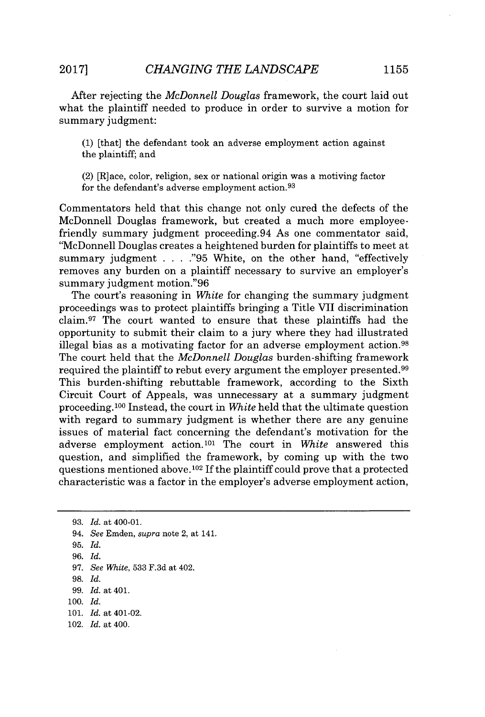After rejecting the *McDonnell Douglas* framework, the court laid out what the plaintiff needed to produce in order to survive a motion for summary judgment:

**(1)** [that] the defendant took an adverse employment action against the plaintiff; and

(2) [R]ace, color, religion, sex or national origin was a motiving factor for the defendant's adverse employment action.<sup>93</sup>

Commentators held that this change not only cured the defects of the McDonnell Douglas framework, but created a much more employeefriendly summary judgment proceeding.94 As one commentator said, 'McDonnell Douglas creates a heightened burden for plaintiffs to meet at summary judgment **. . . ."95** White, on the other hand, "effectively removes any burden on a plaintiff necessary to survive an employer's summary judgment motion."96

The court's reasoning in *White* for changing the summary judgment proceedings was to protect plaintiffs bringing a Title VII discrimination claim.<sup>97</sup> The court wanted to ensure that these plaintiffs had the opportunity to submit their claim to a jury where they had illustrated illegal bias as a motivating factor for an adverse employment action.<sup>98</sup> The court held that the *McDonnell Douglas* burden-shifting framework required the plaintiff to rebut every argument the employer presented.<sup>99</sup> This burden-shifting rebuttable framework, according to the Sixth Circuit Court of Appeals, was unnecessary at a summary judgment proceeding.100 Instead, the court in *White* held that the ultimate question with regard to summary judgment is whether there are any genuine issues of material fact concerning the defendant's motivation for the adverse employment action.<sup>101</sup> The court in *White* answered this question, and simplified the framework, **by** coming up with the two questions mentioned above.<sup>102</sup> If the plaintiff could prove that a protected characteristic was a factor in the employer's adverse employment action,

- **100.** *Id.*
- **101.** *Id. at* 401-02.
- 102. *Id. at* 400.

**<sup>93.</sup>** *Id.* at 400-01.

*<sup>94.</sup> See* Emden, *supra* note 2, at 141.

**<sup>95.</sup>** *Id.*

*<sup>96.</sup> Id.*

*<sup>97.</sup> See White,* **533 F.3d** at 402.

**<sup>98.</sup>** *Id.*

*<sup>99.</sup>* Id. at 401.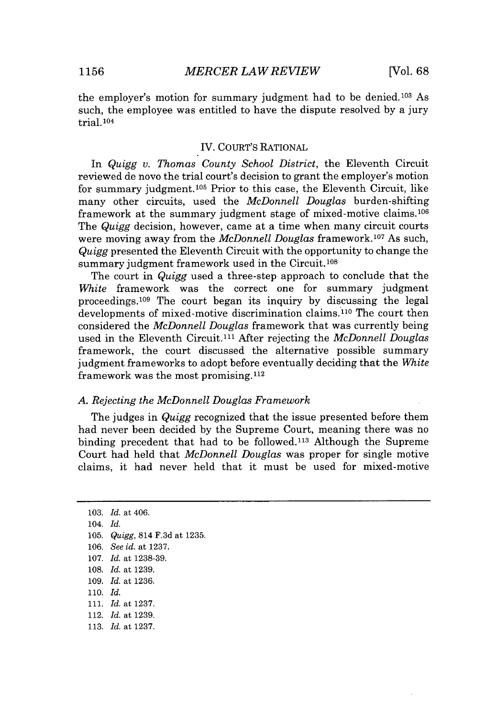the employer's motion for summary judgment had to be denied.<sup>103</sup> As such, the employee was entitled to have the dispute resolved **by** a jury trial. **<sup>104</sup>**

#### IV. COURT's RATIONAL

In *Quigg v. Thomas County School District,* the Eleventh Circuit reviewed de novo the trial court's decision to grant the employer's motion for summary judgment.<sup>105</sup> Prior to this case, the Eleventh Circuit, like many other circuits, used the *McDonnell Douglas* burden-shifting framework at the summary judgment stage of mixed-motive claims.<sup>106</sup> The *Quigg* decision, however, came at a time when many circuit courts were moving away from the *McDonnell Douglas* framework.<sup>107</sup> As such, *Quigg* presented the Eleventh Circuit with the opportunity to change the summary judgment framework used in the Circuit.<sup>108</sup>

The court in *Quigg* used a three-step approach to conclude that the *White* framework was the correct one for summary judgment proceedings.<sup>109</sup> The court began its inquiry by discussing the legal developments of mixed-motive discrimination claims.<sup>110</sup> The court then considered the *McDonnell Douglas* framework that was currently being used in the Eleventh Circuit.<sup>111</sup> After rejecting the *McDonnell Douglas* framework, the court discussed the alternative possible summary judgment frameworks to adopt before eventually deciding that the *White* framework was the most promising. $112$ 

#### *A. Rejecting the McDonnell Douglas Framework*

The judges in *Quigg* recognized that the issue presented before them had never been decided **by** the Supreme Court, meaning there was no binding precedent that had to be followed.<sup>113</sup> Although the Supreme Court had held that *McDonnell Douglas* was proper for single motive claims, it had never held that it must be used for mixed-motive

**103.** *Id. at* 406. 104. *Id.* **105.** *Quigg,* 814 **F.3d** *at* **1235. 106.** *See id. at* **1237. 107.** *Id. at* **1238-39. 108.** *Id. at* **1239. 109.** *Id. at* **1236. 110.** *Id.* **111.** *Id. at* **1237.** 112. *Id. at* **1239. 113.** *Id. at* **1237.**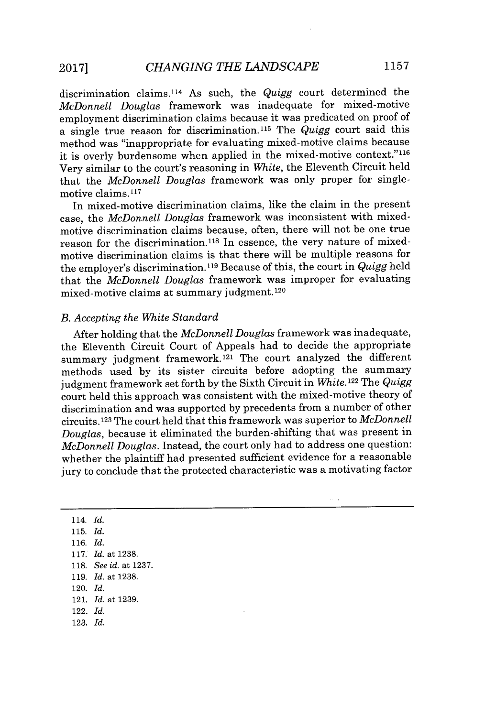discrimination claims. <sup>114</sup>As such, the *Quigg* court determined the *McDonnell Douglas* framework was inadequate for mixed-motive employment discrimination claims because it was predicated on proof of a single true reason for discrimination. <sup>11</sup><sup>5</sup>The *Quigg* court said this method was "inappropriate for evaluating mixed-motive claims because it is overly burdensome when applied in the mixed-motive context."<sup>116</sup> Very similar to the court's reasoning in *White,* the Eleventh Circuit held that the *McDonnell Douglas* framework was only proper for singlemotive claims. <sup>117</sup>

In mixed-motive discrimination claims, like the claim in the present case, the *McDonnell Douglas* framework was inconsistent with mixedmotive discrimination claims because, often, there will not be one true reason for the discrimination.<sup>118</sup> In essence, the very nature of mixedmotive discrimination claims is that there will be multiple reasons for the employer's discrimination. **119** Because of this, the court in *Quigg* held that the *McDonnell Douglas* framework was improper for evaluating mixed-motive claims at summary judgment.120

#### *B. Accepting the White Standard*

After holding that the *McDonnell Douglas* framework was inadequate, the Eleventh Circuit Court of Appeals had to decide the appropriate summary judgment framework.<sup>121</sup> The court analyzed the different methods used **by** its sister circuits before adopting the summary judgment framework set forth **by** the Sixth Circuit in *White.<sup>122</sup>*The *Quigg* court held this approach was consistent with the mixed-motive theory of discrimination and was supported **by** precedents from a number of other circuits.<sup>123</sup> The court held that this framework was superior to *McDonnell Douglas,* because it eliminated the burden-shifting that was present in *McDonnell Douglas.* Instead, the court only had to address one question: whether the plaintiff had presented sufficient evidence for a reasonable jury to conclude that the protected characteristic was a motivating factor

114. *Id.* **115.** *Id.* **116.** *Id.* **117.** *Id. at* **1238. 118.** *See id. at* **1237. 119.** *Id. at* **1238.** 120. *Id.* 121. *Id. at* **1239.** 122. *Id.* **123.** *Id.*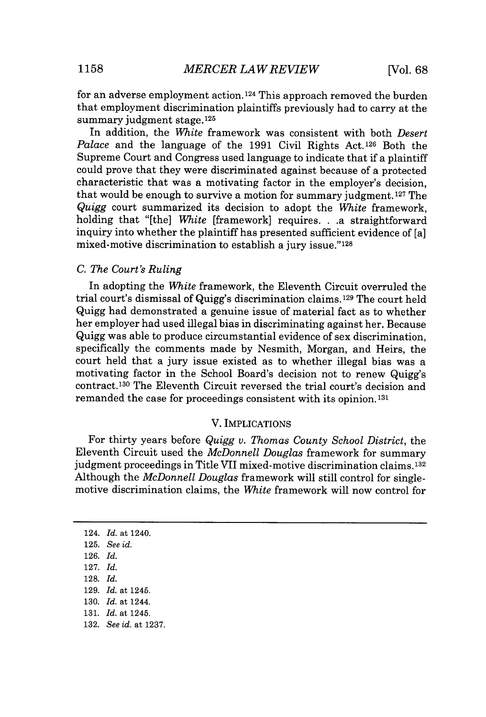for an adverse employment action.124 This approach removed the burden that employment discrimination plaintiffs previously had to carry at the summary judgment stage.<sup>125</sup>

In addition, the *White* framework was consistent with both *Desert Palace* and the language of the 1991 Civil Rights Act.<sup>126</sup> Both the Supreme Court and Congress used language to indicate that if a plaintiff could prove that they were discriminated against because of a protected characteristic that was a motivating factor in the employer's decision, that would be enough to survive a motion for summary judgment.<sup>127</sup> The *Quigg* court summarized its decision to adopt the *White* framework, holding that "[the] *White* [framework] requires. **. .a** straightforward inquiry into whether the plaintiff has presented sufficient evidence of [a] mixed-motive discrimination to establish a jury issue."<sup>128</sup>

### *C. The Court's Ruling*

In adopting the *White* framework, the Eleventh Circuit overruled the trial court's dismissal of Quigg's discrimination claims.129 The court held Quigg had demonstrated a genuine issue of material fact as to whether her employer had used illegal bias in discriminating against her. Because Quigg was able to produce circumstantial evidence of sex discrimination, specifically the comments made **by** Nesmith, Morgan, and Heirs, the court held that a jury issue existed as to whether illegal bias was a motivating factor in the School Board's decision not to renew Quigg's contract.<sup>130</sup> The Eleventh Circuit reversed the trial court's decision and remanded the case for proceedings consistent with its opinion.<sup>131</sup>

### V. **IMPLICATIONS**

For thirty years before *Quigg v. Thomas County School District,* the Eleventh Circuit used the *McDonnell Douglas* framework for summary judgment proceedings in Title VII mixed-motive discrimination claims.1<sup>32</sup> Although the *McDonnell Douglas* framework will still control for singlemotive discrimination claims, the *White* framework will now control for

**<sup>124.</sup>** *Id. at* **1240.**

**<sup>125.</sup>** *See id.*

**<sup>126.</sup>** *Id.*

**<sup>127.</sup>** *Id.*

**<sup>128.</sup>** *Id.*

**<sup>129.</sup>** *Id. at* **1245.**

**<sup>130.</sup>** *Id. at* **1244.**

**<sup>131.</sup>** *Id. at* **1245.**

**<sup>132.</sup>** *See id. at* **1237.**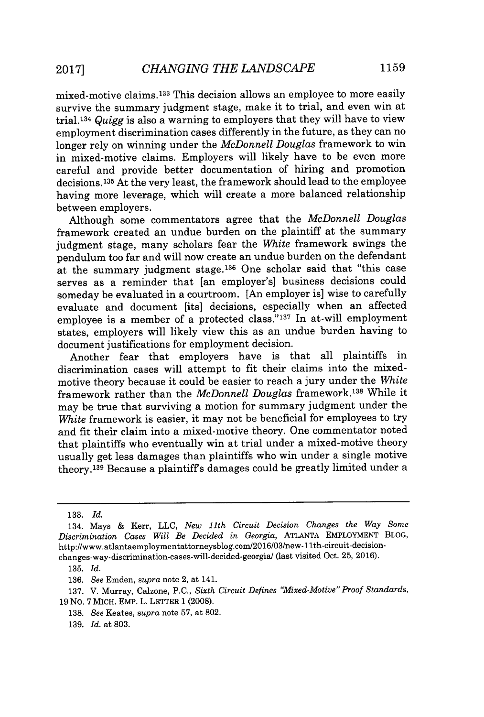mixed-motive claims. <sup>133</sup>This decision allows an employee to more easily survive the summary judgment stage, make it to trial, and even win at trial.1<sup>34</sup>*Quigg* is also a warning to employers that they will have to view employment discrimination cases differently in the future, as they can no longer rely on winning under the *McDonnell Douglas* framework to win in mixed-motive claims. Employers will likely have to be even more careful and provide better documentation of hiring and promotion decisions.1<sup>35</sup>At the very least, the framework should lead to the employee having more leverage, which will create a more balanced relationship between employers.

Although some commentators agree that the *McDonnell Douglas* framework created an undue burden on the plaintiff at the summary judgment stage, many scholars fear the *White* framework swings the pendulum too far and will now create an undue burden on the defendant at the summary judgment stage.<sup>136</sup> One scholar said that "this case serves as a reminder that [an employer's] business decisions could someday be evaluated in a courtroom. [An employer is] wise to carefully evaluate and document [its] decisions, especially when an affected employee is a member of a protected class." $137$  In at-will employment states, employers will likely view this as an undue burden having to document justifications for employment decision.

Another fear that employers have is that all plaintiffs in discrimination cases will attempt to fit their claims into the mixedmotive theory because it could be easier to reach a jury under the *White* framework rather than the *McDonnell Douglas* framework. <sup>138</sup>While it may be true that surviving a motion for summary judgment under the White framework is easier, it may not be beneficial for employees to try and fit their claim into a mixed-motive theory. One commentator noted that plaintiffs who eventually win at trial under a mixed-motive theory usually get less damages than plaintiffs who win under a single motive theory.<sup>139</sup> Because a plaintiff's damages could be greatly limited under a

**138.** *See* Keates, *supra* note **57,** at **802.**

**<sup>133.</sup>** *Id.*

<sup>134.</sup> Mays **&** Kerr, **LLC,** *New 11th Circuit Decision Changes the Way Some Discrimination Cases Will Be Decided in Georgia,* **ATLANTA** EMPLOYMENT BLOG, http://www.atlantaemploymentattorneysblog.com/2016/03/new-11th-circuit-decision changes-way-discrimination-cases-will-decided-georgial (last visited Oct. 25, 2016).

**<sup>135.</sup>** *Id.*

**<sup>136.</sup>** *See* Emden, *supra* note 2, at 141.

**<sup>137.</sup>** V. Murray, Calzone, **P.C.,** *Sixth Circuit Defines "Mixed-Motive" Proof Standards,* **19** No. **7** MICH. EMP. L. LETTER **1 (2008).**

**<sup>139.</sup>** *Id.* at **803.**